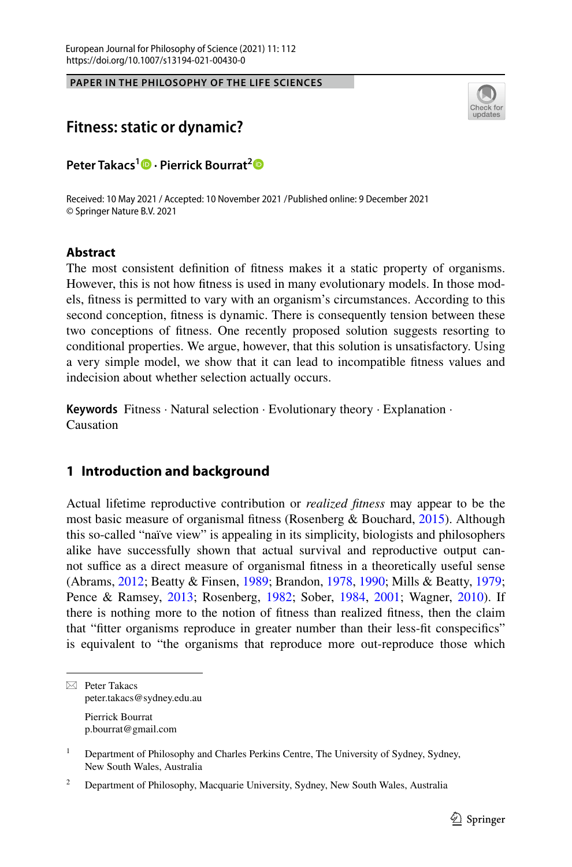**PAPER IN THE PHILOSOPHY OF THE LIFE SCIENCES**



# **Fitness: static or dynamic?**

**Peter Takacs<sup>1</sup> · Pierrick Bourrat[2](https://orcid.org/0000-0002-4465-6015)**

Received: 10 May 2021 / Accepted: 10 November 2021 Published online: 9 December 2021 /© Springer Nature B.V. 2021

#### **Abstract**

The most consistent defnition of ftness makes it a static property of organisms. However, this is not how ftness is used in many evolutionary models. In those models, ftness is permitted to vary with an organism's circumstances. According to this second conception, ftness is dynamic. There is consequently tension between these two conceptions of ftness. One recently proposed solution suggests resorting to conditional properties. We argue, however, that this solution is unsatisfactory. Using a very simple model, we show that it can lead to incompatible ftness values and indecision about whether selection actually occurs.

**Keywords** Fitness · Natural selection · Evolutionary theory · Explanation · Causation

## **1 Introduction and background**

Actual lifetime reproductive contribution or *realized ftness* may appear to be the most basic measure of organismal ftness (Rosenberg & Bouchard, [2015\)](#page-19-0). Although this so-called "naïve view" is appealing in its simplicity, biologists and philosophers alike have successfully shown that actual survival and reproductive output cannot suffice as a direct measure of organismal fitness in a theoretically useful sense (Abrams, [2012;](#page-18-0) Beatty & Finsen, [1989](#page-18-1); Brandon, [1978](#page-18-2), [1990;](#page-18-3) Mills & Beatty, [1979;](#page-18-4) Pence & Ramsey, [2013;](#page-19-1) Rosenberg, [1982;](#page-19-2) Sober, [1984](#page-19-3), [2001;](#page-19-4) Wagner, [2010\)](#page-19-5). If there is nothing more to the notion of ftness than realized ftness, then the claim that "ftter organisms reproduce in greater number than their less-ft conspecifcs" is equivalent to "the organisms that reproduce more out-reproduce those which

 $\boxtimes$  Peter Takacs peter.takacs@sydney.edu.au

Pierrick Bourrat p.bourrat@gmail.com

<sup>&</sup>lt;sup>1</sup> Department of Philosophy and Charles Perkins Centre, The University of Sydney, Sydney, New South Wales, Australia

<sup>&</sup>lt;sup>2</sup> Department of Philosophy, Macquarie University, Sydney, New South Wales, Australia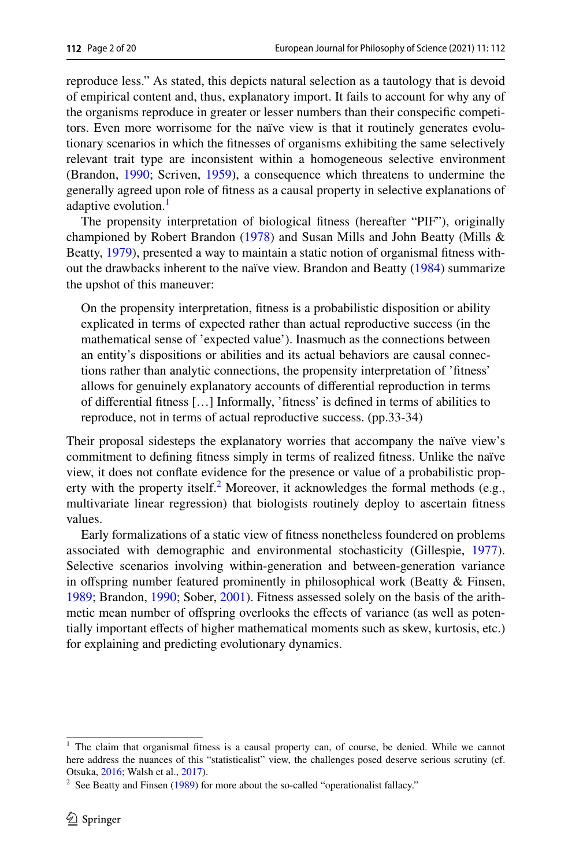reproduce less." As stated, this depicts natural selection as a tautology that is devoid of empirical content and, thus, explanatory import. It fails to account for why any of the organisms reproduce in greater or lesser numbers than their conspecifc competitors. Even more worrisome for the naïve view is that it routinely generates evolutionary scenarios in which the ftnesses of organisms exhibiting the same selectively relevant trait type are inconsistent within a homogeneous selective environment (Brandon, [1990;](#page-18-3) Scriven, [1959](#page-19-6)), a consequence which threatens to undermine the generally agreed upon role of ftness as a causal property in selective explanations of adaptive evolution.<sup>[1](#page-1-0)</sup>

The propensity interpretation of biological ftness (hereafter "PIF"), originally championed by Robert Brandon ([1978\)](#page-18-2) and Susan Mills and John Beatty (Mills & Beatty, [1979\)](#page-18-4), presented a way to maintain a static notion of organismal ftness without the drawbacks inherent to the naïve view. Brandon and Beatty ([1984\)](#page-18-5) summarize the upshot of this maneuver:

On the propensity interpretation, ftness is a probabilistic disposition or ability explicated in terms of expected rather than actual reproductive success (in the mathematical sense of 'expected value'). Inasmuch as the connections between an entity's dispositions or abilities and its actual behaviors are causal connections rather than analytic connections, the propensity interpretation of 'ftness' allows for genuinely explanatory accounts of diferential reproduction in terms of diferential ftness […] Informally, 'ftness' is defned in terms of abilities to reproduce, not in terms of actual reproductive success. (pp.33-34)

Their proposal sidesteps the explanatory worries that accompany the naïve view's commitment to defning ftness simply in terms of realized ftness. Unlike the naïve view, it does not confate evidence for the presence or value of a probabilistic prop-erty with the property itself.<sup>[2](#page-1-1)</sup> Moreover, it acknowledges the formal methods (e.g., multivariate linear regression) that biologists routinely deploy to ascertain ftness values.

Early formalizations of a static view of ftness nonetheless foundered on problems associated with demographic and environmental stochasticity (Gillespie, [1977\)](#page-18-6). Selective scenarios involving within-generation and between-generation variance in offspring number featured prominently in philosophical work (Beatty  $\&$  Finsen, [1989](#page-18-1); Brandon, [1990;](#page-18-3) Sober, [2001](#page-19-4)). Fitness assessed solely on the basis of the arithmetic mean number of ofspring overlooks the efects of variance (as well as potentially important efects of higher mathematical moments such as skew, kurtosis, etc.) for explaining and predicting evolutionary dynamics.

<span id="page-1-0"></span> $<sup>1</sup>$  The claim that organismal fitness is a causal property can, of course, be denied. While we cannot</sup> here address the nuances of this "statisticalist" view, the challenges posed deserve serious scrutiny (cf. Otsuka, [2016;](#page-18-7) Walsh et al., [2017](#page-19-7)).

<span id="page-1-1"></span><sup>&</sup>lt;sup>2</sup> See Beatty and Finsen  $(1989)$  $(1989)$  for more about the so-called "operationalist fallacy."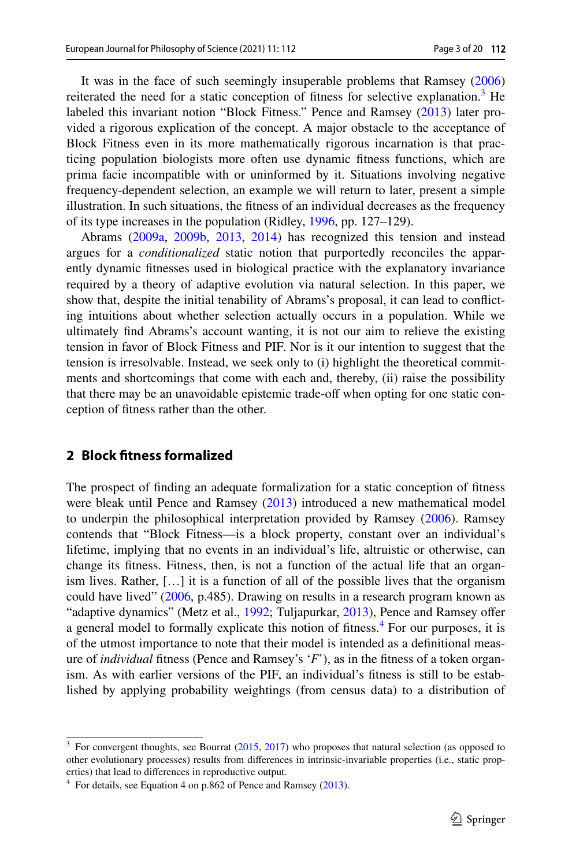It was in the face of such seemingly insuperable problems that Ramsey [\(2006](#page-19-8)) reiterated the need for a static conception of fitness for selective explanation.<sup>[3](#page-2-0)</sup> He labeled this invariant notion "Block Fitness." Pence and Ramsey ([2013\)](#page-19-1) later provided a rigorous explication of the concept. A major obstacle to the acceptance of Block Fitness even in its more mathematically rigorous incarnation is that practicing population biologists more often use dynamic ftness functions, which are prima facie incompatible with or uninformed by it. Situations involving negative frequency-dependent selection, an example we will return to later, present a simple illustration. In such situations, the ftness of an individual decreases as the frequency of its type increases in the population (Ridley, [1996](#page-19-9), pp. 127–129).

Abrams ([2009a](#page-17-0), [2009b,](#page-18-8) [2013,](#page-18-9) [2014](#page-18-10)) has recognized this tension and instead argues for a *conditionalized* static notion that purportedly reconciles the apparently dynamic ftnesses used in biological practice with the explanatory invariance required by a theory of adaptive evolution via natural selection. In this paper, we show that, despite the initial tenability of Abrams's proposal, it can lead to conficting intuitions about whether selection actually occurs in a population. While we ultimately fnd Abrams's account wanting, it is not our aim to relieve the existing tension in favor of Block Fitness and PIF. Nor is it our intention to suggest that the tension is irresolvable. Instead, we seek only to (i) highlight the theoretical commitments and shortcomings that come with each and, thereby, (ii) raise the possibility that there may be an unavoidable epistemic trade-of when opting for one static conception of ftness rather than the other.

### **2 Block ftness formalized**

The prospect of fnding an adequate formalization for a static conception of ftness were bleak until Pence and Ramsey ([2013\)](#page-19-1) introduced a new mathematical model to underpin the philosophical interpretation provided by Ramsey ([2006\)](#page-19-8). Ramsey contends that "Block Fitness—is a block property, constant over an individual's lifetime, implying that no events in an individual's life, altruistic or otherwise, can change its ftness. Fitness, then, is not a function of the actual life that an organism lives. Rather, […] it is a function of all of the possible lives that the organism could have lived" ([2006,](#page-19-8) p.485). Drawing on results in a research program known as "adaptive dynamics" (Metz et al., [1992](#page-18-11); Tuljapurkar, [2013](#page-19-10)), Pence and Ramsey ofer a general model to formally explicate this notion of fitness.<sup>[4](#page-2-1)</sup> For our purposes, it is of the utmost importance to note that their model is intended as a defnitional measure of *individual* ftness (Pence and Ramsey's '*F*'), as in the ftness of a token organism. As with earlier versions of the PIF, an individual's ftness is still to be established by applying probability weightings (from census data) to a distribution of

<span id="page-2-0"></span><sup>&</sup>lt;sup>3</sup> For convergent thoughts, see Bourrat ([2015,](#page-18-12) [2017](#page-18-13)) who proposes that natural selection (as opposed to other evolutionary processes) results from diferences in intrinsic-invariable properties (i.e., static properties) that lead to diferences in reproductive output.

<span id="page-2-1"></span> $4\,$  For details, see Equation 4 on p.862 of Pence and Ramsey [\(2013](#page-19-1)).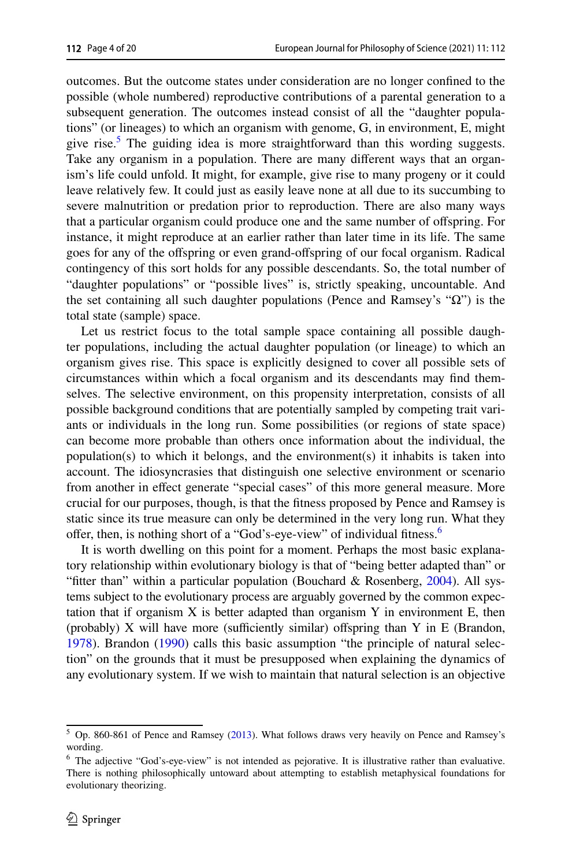outcomes. But the outcome states under consideration are no longer confned to the possible (whole numbered) reproductive contributions of a parental generation to a subsequent generation. The outcomes instead consist of all the "daughter populations" (or lineages) to which an organism with genome, G, in environment, E, might give rise.<sup>5</sup> The guiding idea is more straightforward than this wording suggests. Take any organism in a population. There are many diferent ways that an organism's life could unfold. It might, for example, give rise to many progeny or it could leave relatively few. It could just as easily leave none at all due to its succumbing to severe malnutrition or predation prior to reproduction. There are also many ways that a particular organism could produce one and the same number of ofspring. For instance, it might reproduce at an earlier rather than later time in its life. The same goes for any of the ofspring or even grand-ofspring of our focal organism. Radical contingency of this sort holds for any possible descendants. So, the total number of "daughter populations" or "possible lives" is, strictly speaking, uncountable. And the set containing all such daughter populations (Pence and Ramsey's "Ω") is the total state (sample) space.

Let us restrict focus to the total sample space containing all possible daughter populations, including the actual daughter population (or lineage) to which an organism gives rise. This space is explicitly designed to cover all possible sets of circumstances within which a focal organism and its descendants may fnd themselves. The selective environment, on this propensity interpretation, consists of all possible background conditions that are potentially sampled by competing trait variants or individuals in the long run. Some possibilities (or regions of state space) can become more probable than others once information about the individual, the population(s) to which it belongs, and the environment(s) it inhabits is taken into account. The idiosyncrasies that distinguish one selective environment or scenario from another in efect generate "special cases" of this more general measure. More crucial for our purposes, though, is that the ftness proposed by Pence and Ramsey is static since its true measure can only be determined in the very long run. What they offer, then, is nothing short of a "God's-eye-view" of individual fitness.<sup>[6](#page-3-1)</sup>

It is worth dwelling on this point for a moment. Perhaps the most basic explanatory relationship within evolutionary biology is that of "being better adapted than" or "fitter than" within a particular population (Bouchard & Rosenberg, [2004\)](#page-18-14). All systems subject to the evolutionary process are arguably governed by the common expectation that if organism  $X$  is better adapted than organism  $Y$  in environment  $E$ , then (probably)  $X$  will have more (sufficiently similar) offspring than  $Y$  in  $E$  (Brandon, [1978](#page-18-2)). Brandon ([1990\)](#page-18-3) calls this basic assumption "the principle of natural selection" on the grounds that it must be presupposed when explaining the dynamics of any evolutionary system. If we wish to maintain that natural selection is an objective

<span id="page-3-0"></span><sup>5</sup> Op. 860-861 of Pence and Ramsey ([2013\)](#page-19-1). What follows draws very heavily on Pence and Ramsey's wording.

<span id="page-3-1"></span><sup>6</sup> The adjective "God's-eye-view" is not intended as pejorative. It is illustrative rather than evaluative. There is nothing philosophically untoward about attempting to establish metaphysical foundations for evolutionary theorizing.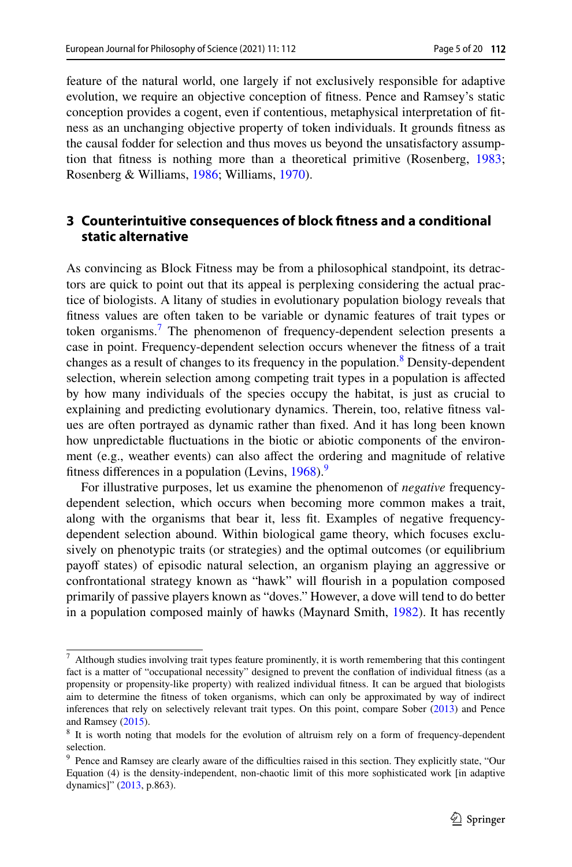feature of the natural world, one largely if not exclusively responsible for adaptive evolution, we require an objective conception of ftness. Pence and Ramsey's static conception provides a cogent, even if contentious, metaphysical interpretation of ftness as an unchanging objective property of token individuals. It grounds ftness as the causal fodder for selection and thus moves us beyond the unsatisfactory assumption that ftness is nothing more than a theoretical primitive (Rosenberg, [1983;](#page-19-11) Rosenberg & Williams, [1986;](#page-19-12) Williams, [1970\)](#page-19-13).

### **3 Counterintuitive consequences of block ftness and a conditional static alternative**

As convincing as Block Fitness may be from a philosophical standpoint, its detractors are quick to point out that its appeal is perplexing considering the actual practice of biologists. A litany of studies in evolutionary population biology reveals that ftness values are often taken to be variable or dynamic features of trait types or token organisms.[7](#page-4-0) The phenomenon of frequency-dependent selection presents a case in point. Frequency-dependent selection occurs whenever the ftness of a trait changes as a result of changes to its frequency in the population.<sup>[8](#page-4-1)</sup> Density-dependent selection, wherein selection among competing trait types in a population is afected by how many individuals of the species occupy the habitat, is just as crucial to explaining and predicting evolutionary dynamics. Therein, too, relative ftness values are often portrayed as dynamic rather than fxed. And it has long been known how unpredictable fuctuations in the biotic or abiotic components of the environment (e.g., weather events) can also afect the ordering and magnitude of relative fitness differences in a population (Levins,  $1968$  $1968$  $1968$ ).<sup>9</sup>

For illustrative purposes, let us examine the phenomenon of *negative* frequencydependent selection, which occurs when becoming more common makes a trait, along with the organisms that bear it, less ft. Examples of negative frequencydependent selection abound. Within biological game theory, which focuses exclusively on phenotypic traits (or strategies) and the optimal outcomes (or equilibrium payoff states) of episodic natural selection, an organism playing an aggressive or confrontational strategy known as "hawk" will fourish in a population composed primarily of passive players known as "doves." However, a dove will tend to do better in a population composed mainly of hawks (Maynard Smith, [1982\)](#page-18-16). It has recently

<span id="page-4-0"></span> $7$  Although studies involving trait types feature prominently, it is worth remembering that this contingent fact is a matter of "occupational necessity" designed to prevent the confation of individual ftness (as a propensity or propensity-like property) with realized individual ftness. It can be argued that biologists aim to determine the ftness of token organisms, which can only be approximated by way of indirect inferences that rely on selectively relevant trait types. On this point, compare Sober [\(2013](#page-19-14)) and Pence and Ramsey ([2015\)](#page-19-15).

<span id="page-4-1"></span><sup>8</sup> It is worth noting that models for the evolution of altruism rely on a form of frequency-dependent selection.

<span id="page-4-2"></span><sup>&</sup>lt;sup>9</sup> Pence and Ramsey are clearly aware of the difficulties raised in this section. They explicitly state, "Our Equation (4) is the density-independent, non-chaotic limit of this more sophisticated work [in adaptive dynamics]" ([2013,](#page-19-1) p.863).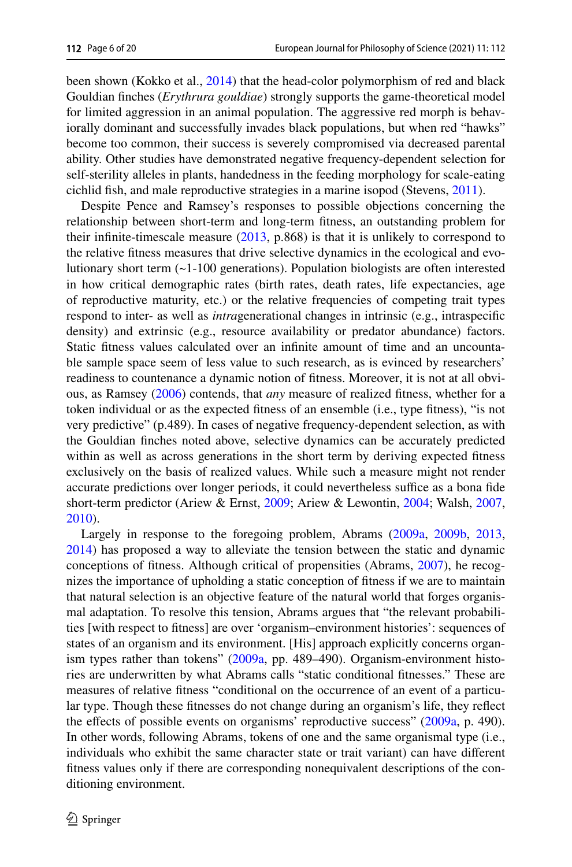been shown (Kokko et al., [2014](#page-18-17)) that the head-color polymorphism of red and black Gouldian fnches (*Erythrura gouldiae*) strongly supports the game-theoretical model for limited aggression in an animal population. The aggressive red morph is behaviorally dominant and successfully invades black populations, but when red "hawks" become too common, their success is severely compromised via decreased parental ability. Other studies have demonstrated negative frequency-dependent selection for self-sterility alleles in plants, handedness in the feeding morphology for scale-eating cichlid fsh, and male reproductive strategies in a marine isopod (Stevens, [2011\)](#page-19-16).

Despite Pence and Ramsey's responses to possible objections concerning the relationship between short-term and long-term ftness, an outstanding problem for their infinite-timescale measure  $(2013, p.868)$  $(2013, p.868)$  is that it is unlikely to correspond to the relative ftness measures that drive selective dynamics in the ecological and evolutionary short term (~1-100 generations). Population biologists are often interested in how critical demographic rates (birth rates, death rates, life expectancies, age of reproductive maturity, etc.) or the relative frequencies of competing trait types respond to inter- as well as *intra*generational changes in intrinsic (e.g., intraspecifc density) and extrinsic (e.g., resource availability or predator abundance) factors. Static ftness values calculated over an infnite amount of time and an uncountable sample space seem of less value to such research, as is evinced by researchers' readiness to countenance a dynamic notion of ftness. Moreover, it is not at all obvious, as Ramsey ([2006\)](#page-19-8) contends, that *any* measure of realized ftness, whether for a token individual or as the expected ftness of an ensemble (i.e., type ftness), "is not very predictive" (p.489). In cases of negative frequency-dependent selection, as with the Gouldian fnches noted above, selective dynamics can be accurately predicted within as well as across generations in the short term by deriving expected ftness exclusively on the basis of realized values. While such a measure might not render accurate predictions over longer periods, it could nevertheless suffice as a bona fide short-term predictor (Ariew & Ernst, [2009;](#page-18-18) Ariew & Lewontin, [2004](#page-18-19); Walsh, [2007,](#page-19-17) [2010](#page-19-18)).

Largely in response to the foregoing problem, Abrams [\(2009a,](#page-17-0) [2009b,](#page-18-8) [2013,](#page-18-9) [2014](#page-18-10)) has proposed a way to alleviate the tension between the static and dynamic conceptions of ftness. Although critical of propensities (Abrams, [2007](#page-17-1)), he recognizes the importance of upholding a static conception of ftness if we are to maintain that natural selection is an objective feature of the natural world that forges organismal adaptation. To resolve this tension, Abrams argues that "the relevant probabilities [with respect to ftness] are over 'organism–environment histories': sequences of states of an organism and its environment. [His] approach explicitly concerns organism types rather than tokens" ([2009a](#page-17-0), pp. 489–490). Organism-environment histories are underwritten by what Abrams calls "static conditional ftnesses." These are measures of relative ftness "conditional on the occurrence of an event of a particular type. Though these ftnesses do not change during an organism's life, they refect the effects of possible events on organisms' reproductive success" ([2009a,](#page-17-0) p. 490). In other words, following Abrams, tokens of one and the same organismal type (i.e., individuals who exhibit the same character state or trait variant) can have diferent ftness values only if there are corresponding nonequivalent descriptions of the conditioning environment.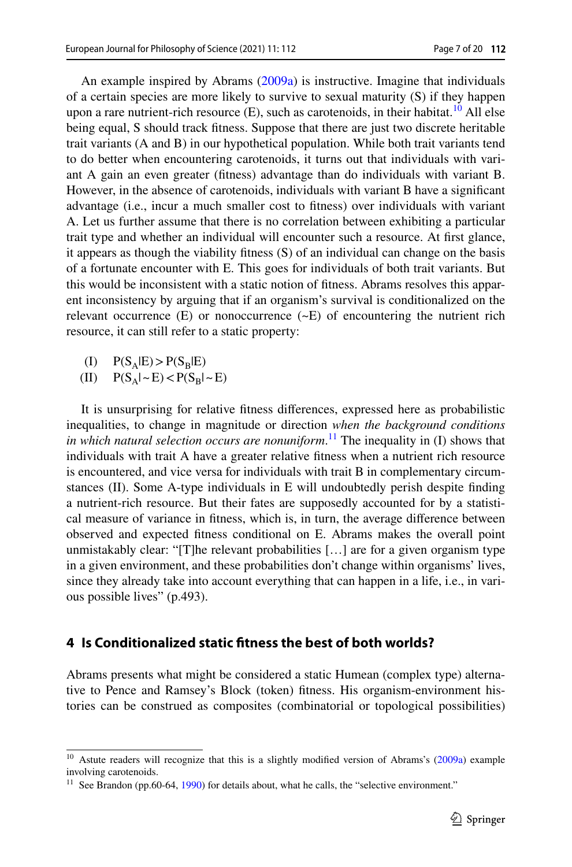An example inspired by Abrams ([2009a](#page-17-0)) is instructive. Imagine that individuals of a certain species are more likely to survive to sexual maturity (S) if they happen upon a rare nutrient-rich resource  $(E)$ , such as carotenoids, in their habitat.<sup>[10](#page-6-0)</sup> All else being equal, S should track ftness. Suppose that there are just two discrete heritable trait variants (A and B) in our hypothetical population. While both trait variants tend to do better when encountering carotenoids, it turns out that individuals with variant A gain an even greater (ftness) advantage than do individuals with variant B. However, in the absence of carotenoids, individuals with variant B have a signifcant advantage (i.e., incur a much smaller cost to ftness) over individuals with variant A. Let us further assume that there is no correlation between exhibiting a particular trait type and whether an individual will encounter such a resource. At frst glance, it appears as though the viability ftness (S) of an individual can change on the basis of a fortunate encounter with E. This goes for individuals of both trait variants. But this would be inconsistent with a static notion of ftness. Abrams resolves this apparent inconsistency by arguing that if an organism's survival is conditionalized on the relevant occurrence  $(E)$  or nonoccurrence  $(-E)$  of encountering the nutrient rich resource, it can still refer to a static property:

- (I)  $P(S_A|E) > P(S_B|E)$ <br>(II)  $P(S_A| \sim E) < P(S_B|$
- $P(S_A|\sim E) < P(S_B|\sim E)$

It is unsurprising for relative ftness diferences, expressed here as probabilistic inequalities, to change in magnitude or direction *when the background conditions in which natural selection occurs are nonuniform*. [11](#page-6-1) The inequality in (I) shows that individuals with trait A have a greater relative ftness when a nutrient rich resource is encountered, and vice versa for individuals with trait B in complementary circumstances (II). Some A-type individuals in E will undoubtedly perish despite fnding a nutrient-rich resource. But their fates are supposedly accounted for by a statistical measure of variance in ftness, which is, in turn, the average diference between observed and expected ftness conditional on E. Abrams makes the overall point unmistakably clear: "[T]he relevant probabilities […] are for a given organism type in a given environment, and these probabilities don't change within organisms' lives, since they already take into account everything that can happen in a life, i.e., in various possible lives" (p.493).

### **4 Is Conditionalized static ftness the best of both worlds?**

Abrams presents what might be considered a static Humean (complex type) alternative to Pence and Ramsey's Block (token) ftness. His organism-environment histories can be construed as composites (combinatorial or topological possibilities)

<span id="page-6-0"></span><sup>&</sup>lt;sup>10</sup> Astute readers will recognize that this is a slightly modified version of Abrams's [\(2009a\)](#page-17-0) example involving carotenoids.

<span id="page-6-1"></span> $11$  See Brandon (pp.60-64, [1990](#page-18-3)) for details about, what he calls, the "selective environment."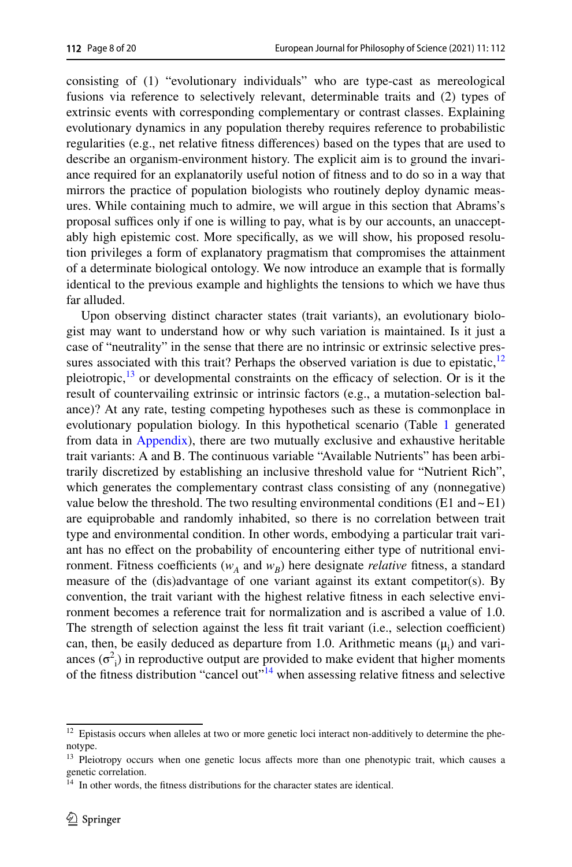consisting of (1) "evolutionary individuals" who are type-cast as mereological fusions via reference to selectively relevant, determinable traits and (2) types of extrinsic events with corresponding complementary or contrast classes. Explaining evolutionary dynamics in any population thereby requires reference to probabilistic regularities (e.g., net relative ftness diferences) based on the types that are used to describe an organism-environment history. The explicit aim is to ground the invariance required for an explanatorily useful notion of ftness and to do so in a way that mirrors the practice of population biologists who routinely deploy dynamic measures. While containing much to admire, we will argue in this section that Abrams's proposal suffices only if one is willing to pay, what is by our accounts, an unacceptably high epistemic cost. More specifcally, as we will show, his proposed resolution privileges a form of explanatory pragmatism that compromises the attainment of a determinate biological ontology. We now introduce an example that is formally identical to the previous example and highlights the tensions to which we have thus far alluded.

Upon observing distinct character states (trait variants), an evolutionary biologist may want to understand how or why such variation is maintained. Is it just a case of "neutrality" in the sense that there are no intrinsic or extrinsic selective pressures associated with this trait? Perhaps the observed variation is due to epistatic, $12$ pleiotropic, $\frac{13}{13}$  or developmental constraints on the efficacy of selection. Or is it the result of countervailing extrinsic or intrinsic factors (e.g., a mutation-selection balance)? At any rate, testing competing hypotheses such as these is commonplace in evolutionary population biology. In this hypothetical scenario (Table [1](#page-9-0) generated from data in [Appendix](#page-17-2)), there are two mutually exclusive and exhaustive heritable trait variants: A and B. The continuous variable "Available Nutrients" has been arbitrarily discretized by establishing an inclusive threshold value for "Nutrient Rich", which generates the complementary contrast class consisting of any (nonnegative) value below the threshold. The two resulting environmental conditions (E1 and  $\sim$  E1) are equiprobable and randomly inhabited, so there is no correlation between trait type and environmental condition. In other words, embodying a particular trait variant has no efect on the probability of encountering either type of nutritional environment. Fitness coefficients ( $w_A$  and  $w_B$ ) here designate *relative* fitness, a standard measure of the (dis)advantage of one variant against its extant competitor(s). By convention, the trait variant with the highest relative ftness in each selective environment becomes a reference trait for normalization and is ascribed a value of 1.0. The strength of selection against the less fit trait variant (i.e., selection coefficient) can, then, be easily deduced as departure from 1.0. Arithmetic means  $(\mu_i)$  and variances  $(\sigma^2)$  in reproductive output are provided to make evident that higher moments of the fitness distribution "cancel out"<sup>[14](#page-7-2)</sup> when assessing relative fitness and selective

<span id="page-7-0"></span><sup>&</sup>lt;sup>12</sup> Epistasis occurs when alleles at two or more genetic loci interact non-additively to determine the phenotype.

<span id="page-7-1"></span><sup>&</sup>lt;sup>13</sup> Pleiotropy occurs when one genetic locus affects more than one phenotypic trait, which causes a genetic correlation.

<span id="page-7-2"></span><sup>&</sup>lt;sup>14</sup> In other words, the fitness distributions for the character states are identical.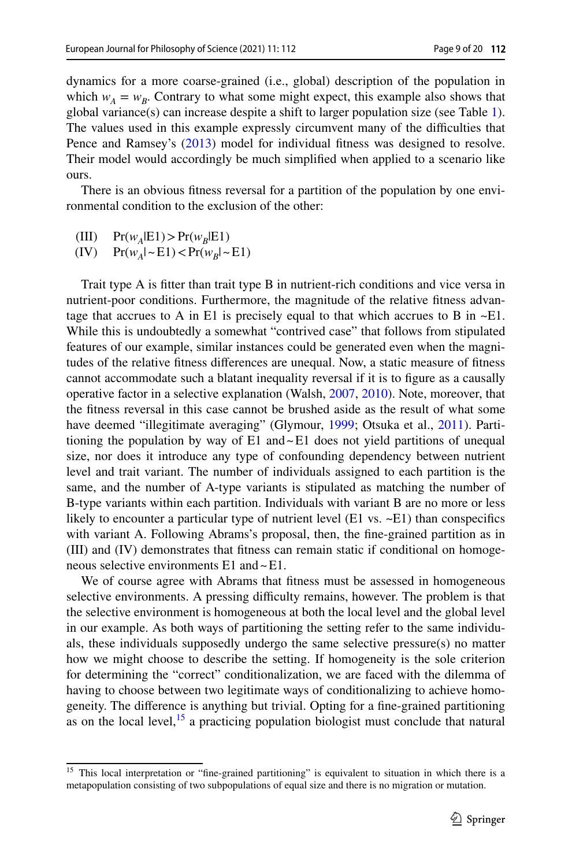dynamics for a more coarse-grained (i.e., global) description of the population in which  $w_A = w_B$ . Contrary to what some might expect, this example also shows that global variance(s) can increase despite a shift to larger population size (see Table [1\)](#page-9-0). The values used in this example expressly circumvent many of the difficulties that Pence and Ramsey's ([2013\)](#page-19-1) model for individual fitness was designed to resolve. Their model would accordingly be much simplifed when applied to a scenario like ours.

There is an obvious ftness reversal for a partition of the population by one environmental condition to the exclusion of the other:

(III)  $Pr(w_A|E1) > Pr(w_B|E1)$ <br>(IV)  $Pr(w_A| \sim E1) < Pr(w_B| \sim$ 

 $Pr(w_A | \sim E1)$  <  $Pr(w_B | \sim E1)$ 

Trait type A is ftter than trait type B in nutrient-rich conditions and vice versa in nutrient-poor conditions. Furthermore, the magnitude of the relative ftness advantage that accrues to A in E1 is precisely equal to that which accrues to B in  $\sim$ E1. While this is undoubtedly a somewhat "contrived case" that follows from stipulated features of our example, similar instances could be generated even when the magnitudes of the relative ftness diferences are unequal. Now, a static measure of ftness cannot accommodate such a blatant inequality reversal if it is to fgure as a causally operative factor in a selective explanation (Walsh, [2007,](#page-19-17) [2010](#page-19-18)). Note, moreover, that the ftness reversal in this case cannot be brushed aside as the result of what some have deemed "illegitimate averaging" (Glymour, [1999](#page-18-20); Otsuka et al., [2011\)](#page-19-19). Partitioning the population by way of  $E1$  and  $E1$  does not yield partitions of unequal size, nor does it introduce any type of confounding dependency between nutrient level and trait variant. The number of individuals assigned to each partition is the same, and the number of A-type variants is stipulated as matching the number of B-type variants within each partition. Individuals with variant B are no more or less likely to encounter a particular type of nutrient level  $(E1 \text{ vs. } \sim E1)$  than conspecifics with variant A. Following Abrams's proposal, then, the fne-grained partition as in (III) and (IV) demonstrates that ftness can remain static if conditional on homogeneous selective environments E1 and~E1.

We of course agree with Abrams that ftness must be assessed in homogeneous selective environments. A pressing difficulty remains, however. The problem is that the selective environment is homogeneous at both the local level and the global level in our example. As both ways of partitioning the setting refer to the same individuals, these individuals supposedly undergo the same selective pressure(s) no matter how we might choose to describe the setting. If homogeneity is the sole criterion for determining the "correct" conditionalization, we are faced with the dilemma of having to choose between two legitimate ways of conditionalizing to achieve homogeneity. The diference is anything but trivial. Opting for a fne-grained partitioning as on the local level, $^{15}$  $^{15}$  $^{15}$  a practicing population biologist must conclude that natural

<span id="page-8-0"></span><sup>&</sup>lt;sup>15</sup> This local interpretation or "fine-grained partitioning" is equivalent to situation in which there is a metapopulation consisting of two subpopulations of equal size and there is no migration or mutation.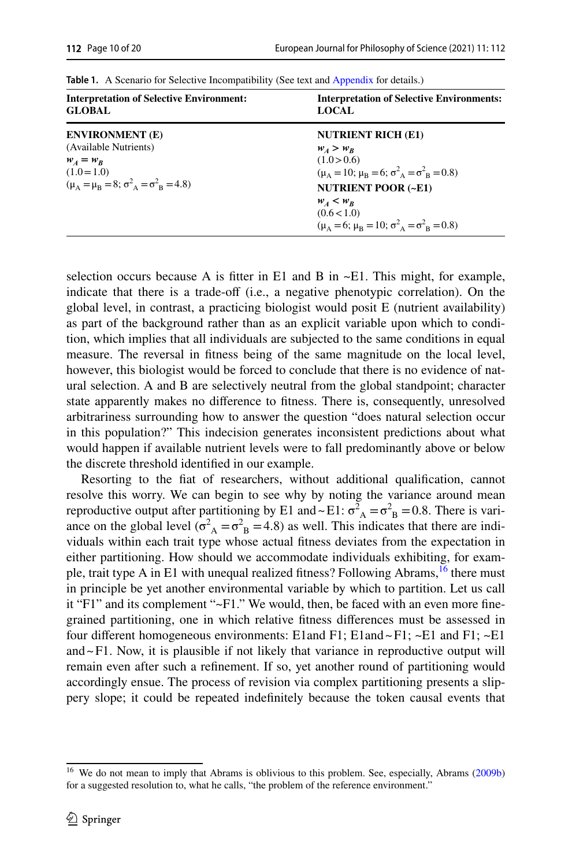| <b>Interpretation of Selective Environment:</b><br><b>GLOBAL</b>                                                        | <b>Interpretation of Selective Environments:</b><br><b>LOCAL</b>                                                   |  |  |
|-------------------------------------------------------------------------------------------------------------------------|--------------------------------------------------------------------------------------------------------------------|--|--|
| <b>ENVIRONMENT</b> (E)                                                                                                  | <b>NUTRIENT RICH (E1)</b>                                                                                          |  |  |
| (Available Nutrients)<br>$W_A = W_R$<br>$(1.0=1.0)$<br>$(\mu_{A} = \mu_{B} = 8; \sigma^{2}_{A} = \sigma^{2}_{B} = 4.8)$ | $W_A > W_R$<br>(1.0>0.6)<br>$(\mu_A = 10; \mu_B = 6; \sigma^2_A = \sigma^2_B = 0.8)$<br><b>NUTRIENT POOR (~E1)</b> |  |  |
|                                                                                                                         | $W_A < W_R$<br>(0.6<1.0)<br>$(\mu_{A} = 6; \mu_{B} = 10; \sigma^{2}_{A} = \sigma^{2}_{B} = 0.8)$                   |  |  |

<span id="page-9-0"></span>Table 1. A Scenario for Selective Incompatibility (See text and [Appendix](#page-17-2) for details.)

selection occurs because A is fitter in E1 and B in  $\sim$ E1. This might, for example, indicate that there is a trade-off (i.e., a negative phenotypic correlation). On the global level, in contrast, a practicing biologist would posit E (nutrient availability) as part of the background rather than as an explicit variable upon which to condition, which implies that all individuals are subjected to the same conditions in equal measure. The reversal in ftness being of the same magnitude on the local level, however, this biologist would be forced to conclude that there is no evidence of natural selection. A and B are selectively neutral from the global standpoint; character state apparently makes no diference to ftness. There is, consequently, unresolved arbitrariness surrounding how to answer the question "does natural selection occur in this population?" This indecision generates inconsistent predictions about what would happen if available nutrient levels were to fall predominantly above or below the discrete threshold identifed in our example.

Resorting to the fat of researchers, without additional qualifcation, cannot resolve this worry. We can begin to see why by noting the variance around mean reproductive output after partitioning by E1 and ~ E1:  $\sigma_A^2 = \sigma_B^2 = 0.8$ . There is variance on the global level ( $\sigma_A^2 = \sigma_B^2 = 4.8$ ) as well. This indicates that there are individuals within each trait type whose actual ftness deviates from the expectation in either partitioning. How should we accommodate individuals exhibiting, for example, trait type A in E1 with unequal realized fitness? Following Abrams,<sup>16</sup> there must in principle be yet another environmental variable by which to partition. Let us call it "F1" and its complement "~F1." We would, then, be faced with an even more fnegrained partitioning, one in which relative ftness diferences must be assessed in four different homogeneous environments: E1and F1; E1and ~ F1; ~E1 and F1; ~E1 and $\sim$ F1. Now, it is plausible if not likely that variance in reproductive output will remain even after such a refnement. If so, yet another round of partitioning would accordingly ensue. The process of revision via complex partitioning presents a slippery slope; it could be repeated indefnitely because the token causal events that

<span id="page-9-1"></span><sup>&</sup>lt;sup>16</sup> We do not mean to imply that Abrams is oblivious to this problem. See, especially, Abrams ([2009b\)](#page-18-8) for a suggested resolution to, what he calls, "the problem of the reference environment."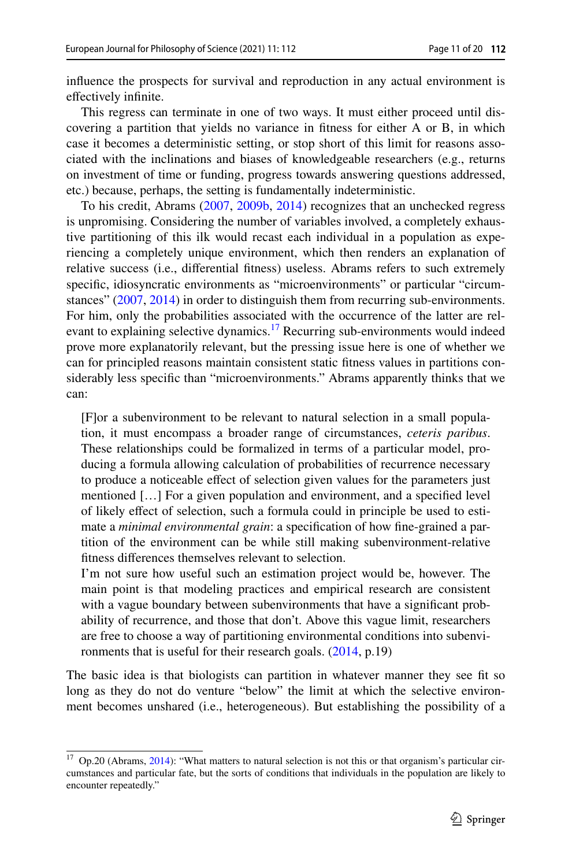infuence the prospects for survival and reproduction in any actual environment is efectively infnite.

This regress can terminate in one of two ways. It must either proceed until discovering a partition that yields no variance in ftness for either A or B, in which case it becomes a deterministic setting, or stop short of this limit for reasons associated with the inclinations and biases of knowledgeable researchers (e.g., returns on investment of time or funding, progress towards answering questions addressed, etc.) because, perhaps, the setting is fundamentally indeterministic.

To his credit, Abrams ([2007,](#page-17-1) [2009b](#page-18-8), [2014](#page-18-10)) recognizes that an unchecked regress is unpromising. Considering the number of variables involved, a completely exhaustive partitioning of this ilk would recast each individual in a population as experiencing a completely unique environment, which then renders an explanation of relative success (i.e., diferential ftness) useless. Abrams refers to such extremely specifc, idiosyncratic environments as "microenvironments" or particular "circumstances" [\(2007](#page-17-1), [2014](#page-18-10)) in order to distinguish them from recurring sub-environments. For him, only the probabilities associated with the occurrence of the latter are relevant to explaining selective dynamics.<sup>17</sup> Recurring sub-environments would indeed prove more explanatorily relevant, but the pressing issue here is one of whether we can for principled reasons maintain consistent static ftness values in partitions considerably less specifc than "microenvironments." Abrams apparently thinks that we can:

[F]or a subenvironment to be relevant to natural selection in a small population, it must encompass a broader range of circumstances, *ceteris paribus*. These relationships could be formalized in terms of a particular model, producing a formula allowing calculation of probabilities of recurrence necessary to produce a noticeable efect of selection given values for the parameters just mentioned […] For a given population and environment, and a specifed level of likely efect of selection, such a formula could in principle be used to estimate a *minimal environmental grain*: a specifcation of how fne-grained a partition of the environment can be while still making subenvironment-relative ftness diferences themselves relevant to selection.

I'm not sure how useful such an estimation project would be, however. The main point is that modeling practices and empirical research are consistent with a vague boundary between subenvironments that have a signifcant probability of recurrence, and those that don't. Above this vague limit, researchers are free to choose a way of partitioning environmental conditions into subenvironments that is useful for their research goals. ([2014,](#page-18-10) p.19)

The basic idea is that biologists can partition in whatever manner they see ft so long as they do not do venture "below" the limit at which the selective environment becomes unshared (i.e., heterogeneous). But establishing the possibility of a

<span id="page-10-0"></span><sup>17</sup> Op.20 (Abrams, [2014\)](#page-18-10): "What matters to natural selection is not this or that organism's particular circumstances and particular fate, but the sorts of conditions that individuals in the population are likely to encounter repeatedly."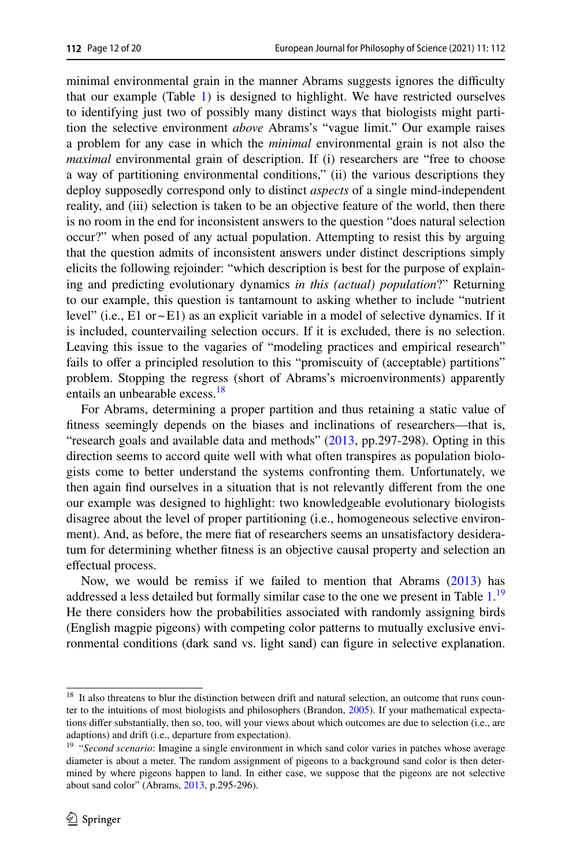minimal environmental grain in the manner Abrams suggests ignores the difficulty that our example (Table [1](#page-9-0)) is designed to highlight. We have restricted ourselves to identifying just two of possibly many distinct ways that biologists might partition the selective environment *above* Abrams's "vague limit." Our example raises a problem for any case in which the *minimal* environmental grain is not also the *maximal* environmental grain of description. If (i) researchers are "free to choose a way of partitioning environmental conditions," (ii) the various descriptions they deploy supposedly correspond only to distinct *aspects* of a single mind-independent reality, and (iii) selection is taken to be an objective feature of the world, then there is no room in the end for inconsistent answers to the question "does natural selection occur?" when posed of any actual population. Attempting to resist this by arguing that the question admits of inconsistent answers under distinct descriptions simply elicits the following rejoinder: "which description is best for the purpose of explaining and predicting evolutionary dynamics *in this (actual) population*?" Returning to our example, this question is tantamount to asking whether to include "nutrient level" (i.e.,  $E1$  or  $\sim$   $E1$ ) as an explicit variable in a model of selective dynamics. If it is included, countervailing selection occurs. If it is excluded, there is no selection. Leaving this issue to the vagaries of "modeling practices and empirical research" fails to offer a principled resolution to this "promiscuity of (acceptable) partitions" problem. Stopping the regress (short of Abrams's microenvironments) apparently entails an unbearable excess.<sup>18</sup>

For Abrams, determining a proper partition and thus retaining a static value of ftness seemingly depends on the biases and inclinations of researchers—that is, "research goals and available data and methods" ([2013,](#page-18-9) pp.297-298). Opting in this direction seems to accord quite well with what often transpires as population biologists come to better understand the systems confronting them. Unfortunately, we then again fnd ourselves in a situation that is not relevantly diferent from the one our example was designed to highlight: two knowledgeable evolutionary biologists disagree about the level of proper partitioning (i.e., homogeneous selective environment). And, as before, the mere fat of researchers seems an unsatisfactory desideratum for determining whether ftness is an objective causal property and selection an effectual process.

Now, we would be remiss if we failed to mention that Abrams ([2013\)](#page-18-9) has addressed a less detailed but formally similar case to the one we present in Table [1.](#page-9-0)<sup>[19](#page-11-1)</sup> He there considers how the probabilities associated with randomly assigning birds (English magpie pigeons) with competing color patterns to mutually exclusive environmental conditions (dark sand vs. light sand) can fgure in selective explanation.

<span id="page-11-0"></span><sup>&</sup>lt;sup>18</sup> It also threatens to blur the distinction between drift and natural selection, an outcome that runs counter to the intuitions of most biologists and philosophers (Brandon, [2005\)](#page-18-21). If your mathematical expectations difer substantially, then so, too, will your views about which outcomes are due to selection (i.e., are adaptions) and drift (i.e., departure from expectation).

<span id="page-11-1"></span><sup>&</sup>lt;sup>19</sup> "Second scenario: Imagine a single environment in which sand color varies in patches whose average diameter is about a meter. The random assignment of pigeons to a background sand color is then determined by where pigeons happen to land. In either case, we suppose that the pigeons are not selective about sand color" (Abrams, [2013](#page-18-9), p.295-296).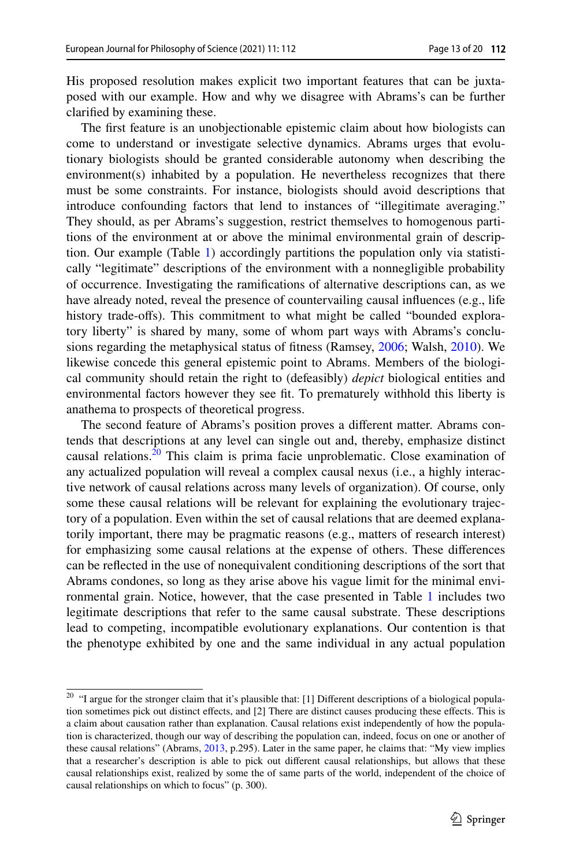His proposed resolution makes explicit two important features that can be juxtaposed with our example. How and why we disagree with Abrams's can be further clarifed by examining these.

The frst feature is an unobjectionable epistemic claim about how biologists can come to understand or investigate selective dynamics. Abrams urges that evolutionary biologists should be granted considerable autonomy when describing the environment(s) inhabited by a population. He nevertheless recognizes that there must be some constraints. For instance, biologists should avoid descriptions that introduce confounding factors that lend to instances of "illegitimate averaging." They should, as per Abrams's suggestion, restrict themselves to homogenous partitions of the environment at or above the minimal environmental grain of description. Our example (Table [1](#page-9-0)) accordingly partitions the population only via statistically "legitimate" descriptions of the environment with a nonnegligible probability of occurrence. Investigating the ramifcations of alternative descriptions can, as we have already noted, reveal the presence of countervailing causal infuences (e.g., life history trade-ofs). This commitment to what might be called "bounded exploratory liberty" is shared by many, some of whom part ways with Abrams's conclusions regarding the metaphysical status of ftness (Ramsey, [2006;](#page-19-8) Walsh, [2010](#page-19-18)). We likewise concede this general epistemic point to Abrams. Members of the biological community should retain the right to (defeasibly) *depict* biological entities and environmental factors however they see ft. To prematurely withhold this liberty is anathema to prospects of theoretical progress.

The second feature of Abrams's position proves a diferent matter. Abrams contends that descriptions at any level can single out and, thereby, emphasize distinct causal relations.[20](#page-12-0) This claim is prima facie unproblematic. Close examination of any actualized population will reveal a complex causal nexus (i.e., a highly interactive network of causal relations across many levels of organization). Of course, only some these causal relations will be relevant for explaining the evolutionary trajectory of a population. Even within the set of causal relations that are deemed explanatorily important, there may be pragmatic reasons (e.g., matters of research interest) for emphasizing some causal relations at the expense of others. These diferences can be refected in the use of nonequivalent conditioning descriptions of the sort that Abrams condones, so long as they arise above his vague limit for the minimal environmental grain. Notice, however, that the case presented in Table [1](#page-9-0) includes two legitimate descriptions that refer to the same causal substrate. These descriptions lead to competing, incompatible evolutionary explanations. Our contention is that the phenotype exhibited by one and the same individual in any actual population

<span id="page-12-0"></span><sup>&</sup>lt;sup>20</sup> "I argue for the stronger claim that it's plausible that: [1] Different descriptions of a biological population sometimes pick out distinct efects, and [2] There are distinct causes producing these efects. This is a claim about causation rather than explanation. Causal relations exist independently of how the population is characterized, though our way of describing the population can, indeed, focus on one or another of these causal relations" (Abrams, [2013,](#page-18-9) p.295). Later in the same paper, he claims that: "My view implies that a researcher's description is able to pick out diferent causal relationships, but allows that these causal relationships exist, realized by some the of same parts of the world, independent of the choice of causal relationships on which to focus" (p. 300).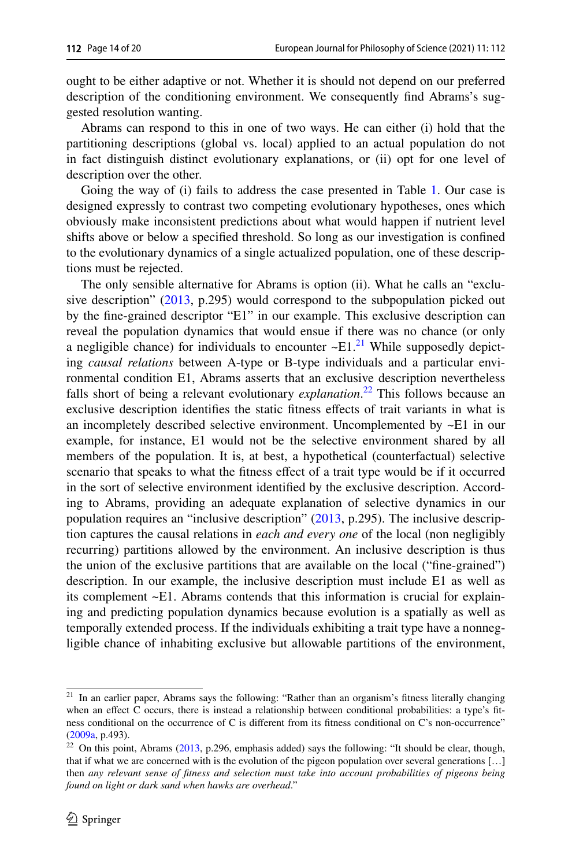ought to be either adaptive or not. Whether it is should not depend on our preferred description of the conditioning environment. We consequently fnd Abrams's suggested resolution wanting.

Abrams can respond to this in one of two ways. He can either (i) hold that the partitioning descriptions (global vs. local) applied to an actual population do not in fact distinguish distinct evolutionary explanations, or (ii) opt for one level of description over the other.

Going the way of (i) fails to address the case presented in Table [1](#page-9-0). Our case is designed expressly to contrast two competing evolutionary hypotheses, ones which obviously make inconsistent predictions about what would happen if nutrient level shifts above or below a specifed threshold. So long as our investigation is confned to the evolutionary dynamics of a single actualized population, one of these descriptions must be rejected.

The only sensible alternative for Abrams is option (ii). What he calls an "exclusive description" [\(2013](#page-18-9), p.295) would correspond to the subpopulation picked out by the fne-grained descriptor "E1" in our example. This exclusive description can reveal the population dynamics that would ensue if there was no chance (or only a negligible chance) for individuals to encounter  $\sim$ E1.<sup>21</sup> While supposedly depicting *causal relations* between A-type or B-type individuals and a particular environmental condition E1, Abrams asserts that an exclusive description nevertheless falls short of being a relevant evolutionary *explanation*. [22](#page-13-1) This follows because an exclusive description identifes the static ftness efects of trait variants in what is an incompletely described selective environment. Uncomplemented by ~E1 in our example, for instance, E1 would not be the selective environment shared by all members of the population. It is, at best, a hypothetical (counterfactual) selective scenario that speaks to what the fitness effect of a trait type would be if it occurred in the sort of selective environment identifed by the exclusive description. According to Abrams, providing an adequate explanation of selective dynamics in our population requires an "inclusive description" [\(2013](#page-18-9), p.295). The inclusive description captures the causal relations in *each and every one* of the local (non negligibly recurring) partitions allowed by the environment. An inclusive description is thus the union of the exclusive partitions that are available on the local ("fne-grained") description. In our example, the inclusive description must include E1 as well as its complement ~E1. Abrams contends that this information is crucial for explaining and predicting population dynamics because evolution is a spatially as well as temporally extended process. If the individuals exhibiting a trait type have a nonnegligible chance of inhabiting exclusive but allowable partitions of the environment,

<span id="page-13-0"></span><sup>21</sup> In an earlier paper, Abrams says the following: "Rather than an organism's ftness literally changing when an effect C occurs, there is instead a relationship between conditional probabilities: a type's fitness conditional on the occurrence of C is diferent from its ftness conditional on C's non-occurrence" ([2009a](#page-17-0), p.493).

<span id="page-13-1"></span> $22$  On this point, Abrams ([2013,](#page-18-9) p.296, emphasis added) says the following: "It should be clear, though, that if what we are concerned with is the evolution of the pigeon population over several generations [...] then *any relevant sense of ftness and selection must take into account probabilities of pigeons being found on light or dark sand when hawks are overhead*."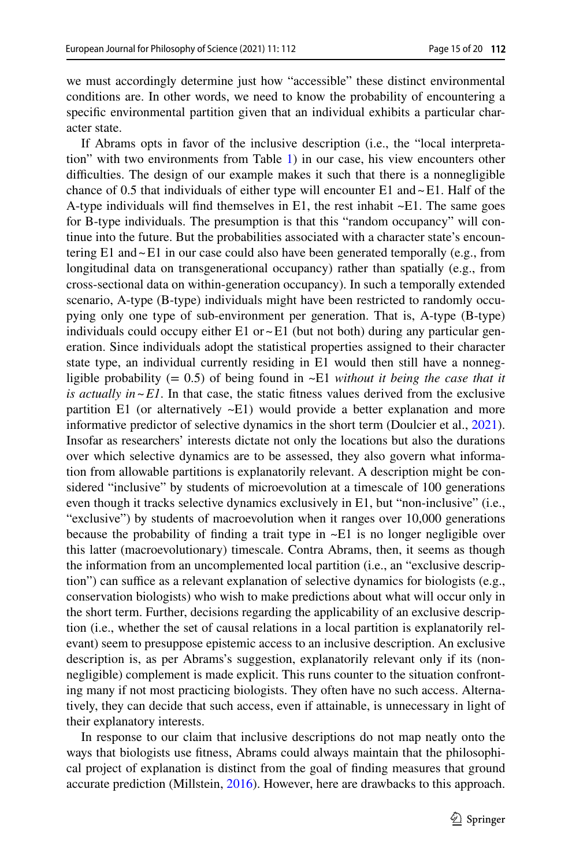we must accordingly determine just how "accessible" these distinct environmental conditions are. In other words, we need to know the probability of encountering a specifc environmental partition given that an individual exhibits a particular character state.

If Abrams opts in favor of the inclusive description (i.e., the "local interpretation" with two environments from Table [1](#page-9-0)) in our case, his view encounters other difficulties. The design of our example makes it such that there is a nonnegligible chance of 0.5 that individuals of either type will encounter E1 and  $\sim$  E1. Half of the A-type individuals will fnd themselves in E1, the rest inhabit ~E1. The same goes for B-type individuals. The presumption is that this "random occupancy" will continue into the future. But the probabilities associated with a character state's encountering E1 and~E1 in our case could also have been generated temporally (e.g., from longitudinal data on transgenerational occupancy) rather than spatially (e.g., from cross-sectional data on within-generation occupancy). In such a temporally extended scenario, A-type (B-type) individuals might have been restricted to randomly occupying only one type of sub-environment per generation. That is, A-type (B-type) individuals could occupy either E1 or  $\sim$  E1 (but not both) during any particular generation. Since individuals adopt the statistical properties assigned to their character state type, an individual currently residing in E1 would then still have a nonnegligible probability (= 0.5) of being found in ~E1 *without it being the case that it is actually in~E1*. In that case, the static fitness values derived from the exclusive partition E1 (or alternatively  $\sim$ E1) would provide a better explanation and more informative predictor of selective dynamics in the short term (Doulcier et al., [2021\)](#page-18-22). Insofar as researchers' interests dictate not only the locations but also the durations over which selective dynamics are to be assessed, they also govern what information from allowable partitions is explanatorily relevant. A description might be considered "inclusive" by students of microevolution at a timescale of 100 generations even though it tracks selective dynamics exclusively in E1, but "non-inclusive" (i.e., "exclusive") by students of macroevolution when it ranges over 10,000 generations because the probability of finding a trait type in  $\neg$ E1 is no longer negligible over this latter (macroevolutionary) timescale. Contra Abrams, then, it seems as though the information from an uncomplemented local partition (i.e., an "exclusive description") can suffice as a relevant explanation of selective dynamics for biologists (e.g., conservation biologists) who wish to make predictions about what will occur only in the short term. Further, decisions regarding the applicability of an exclusive description (i.e., whether the set of causal relations in a local partition is explanatorily relevant) seem to presuppose epistemic access to an inclusive description. An exclusive description is, as per Abrams's suggestion, explanatorily relevant only if its (nonnegligible) complement is made explicit. This runs counter to the situation confronting many if not most practicing biologists. They often have no such access. Alternatively, they can decide that such access, even if attainable, is unnecessary in light of their explanatory interests.

In response to our claim that inclusive descriptions do not map neatly onto the ways that biologists use ftness, Abrams could always maintain that the philosophical project of explanation is distinct from the goal of fnding measures that ground accurate prediction (Millstein, [2016](#page-18-23)). However, here are drawbacks to this approach.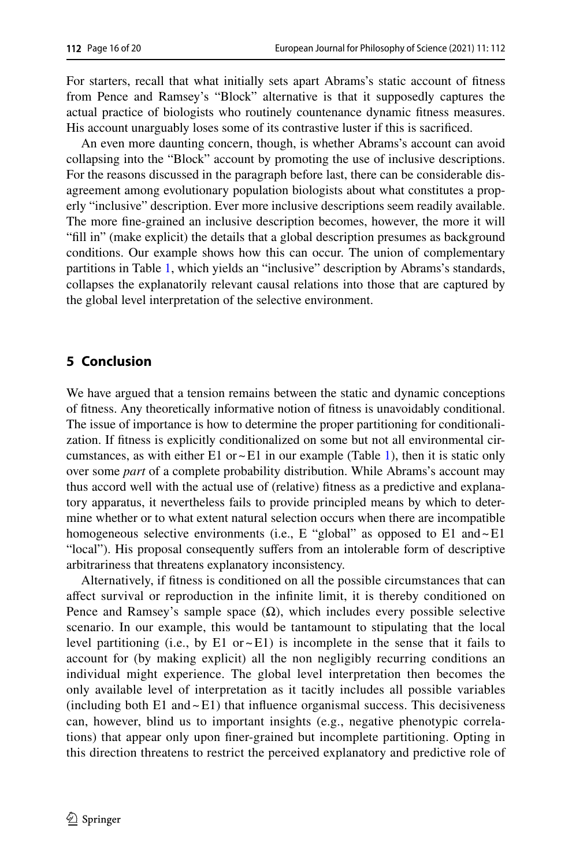For starters, recall that what initially sets apart Abrams's static account of ftness from Pence and Ramsey's "Block" alternative is that it supposedly captures the actual practice of biologists who routinely countenance dynamic ftness measures. His account unarguably loses some of its contrastive luster if this is sacrifced.

An even more daunting concern, though, is whether Abrams's account can avoid collapsing into the "Block" account by promoting the use of inclusive descriptions. For the reasons discussed in the paragraph before last, there can be considerable disagreement among evolutionary population biologists about what constitutes a properly "inclusive" description. Ever more inclusive descriptions seem readily available. The more fne-grained an inclusive description becomes, however, the more it will "fll in" (make explicit) the details that a global description presumes as background conditions. Our example shows how this can occur. The union of complementary partitions in Table [1](#page-9-0), which yields an "inclusive" description by Abrams's standards, collapses the explanatorily relevant causal relations into those that are captured by the global level interpretation of the selective environment.

## **5 Conclusion**

We have argued that a tension remains between the static and dynamic conceptions of ftness. Any theoretically informative notion of ftness is unavoidably conditional. The issue of importance is how to determine the proper partitioning for conditionalization. If ftness is explicitly conditionalized on some but not all environmental circumstances, as with either E1 or  $\sim$  E1 in our example (Table [1](#page-9-0)), then it is static only over some *part* of a complete probability distribution. While Abrams's account may thus accord well with the actual use of (relative) ftness as a predictive and explanatory apparatus, it nevertheless fails to provide principled means by which to determine whether or to what extent natural selection occurs when there are incompatible homogeneous selective environments (i.e., E "global" as opposed to  $E1$  and  $\sim$  E1 "local"). His proposal consequently sufers from an intolerable form of descriptive arbitrariness that threatens explanatory inconsistency.

Alternatively, if ftness is conditioned on all the possible circumstances that can afect survival or reproduction in the infnite limit, it is thereby conditioned on Pence and Ramsey's sample space  $(\Omega)$ , which includes every possible selective scenario. In our example, this would be tantamount to stipulating that the local level partitioning (i.e., by E1 or  $\sim$  E1) is incomplete in the sense that it fails to account for (by making explicit) all the non negligibly recurring conditions an individual might experience. The global level interpretation then becomes the only available level of interpretation as it tacitly includes all possible variables (including both E1 and  $\sim$  E1) that influence organismal success. This decisiveness can, however, blind us to important insights (e.g., negative phenotypic correlations) that appear only upon fner-grained but incomplete partitioning. Opting in this direction threatens to restrict the perceived explanatory and predictive role of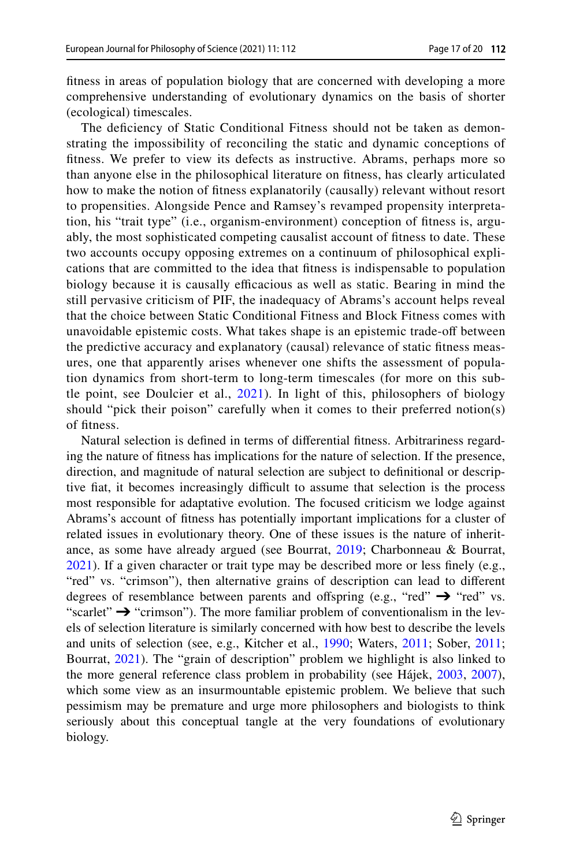ftness in areas of population biology that are concerned with developing a more comprehensive understanding of evolutionary dynamics on the basis of shorter (ecological) timescales.

The deficiency of Static Conditional Fitness should not be taken as demonstrating the impossibility of reconciling the static and dynamic conceptions of ftness. We prefer to view its defects as instructive. Abrams, perhaps more so than anyone else in the philosophical literature on ftness, has clearly articulated how to make the notion of ftness explanatorily (causally) relevant without resort to propensities. Alongside Pence and Ramsey's revamped propensity interpretation, his "trait type" (i.e., organism-environment) conception of ftness is, arguably, the most sophisticated competing causalist account of ftness to date. These two accounts occupy opposing extremes on a continuum of philosophical explications that are committed to the idea that ftness is indispensable to population biology because it is causally efficacious as well as static. Bearing in mind the still pervasive criticism of PIF, the inadequacy of Abrams's account helps reveal that the choice between Static Conditional Fitness and Block Fitness comes with unavoidable epistemic costs. What takes shape is an epistemic trade-of between the predictive accuracy and explanatory (causal) relevance of static ftness measures, one that apparently arises whenever one shifts the assessment of population dynamics from short-term to long-term timescales (for more on this subtle point, see Doulcier et al., [2021](#page-18-22)). In light of this, philosophers of biology should "pick their poison" carefully when it comes to their preferred notion(s) of ftness.

Natural selection is defned in terms of diferential ftness. Arbitrariness regarding the nature of ftness has implications for the nature of selection. If the presence, direction, and magnitude of natural selection are subject to defnitional or descriptive fiat, it becomes increasingly difficult to assume that selection is the process most responsible for adaptative evolution. The focused criticism we lodge against Abrams's account of ftness has potentially important implications for a cluster of related issues in evolutionary theory. One of these issues is the nature of inheritance, as some have already argued (see Bourrat, [2019;](#page-18-24) Charbonneau & Bourrat, [2021](#page-18-25)). If a given character or trait type may be described more or less fnely (e.g., "red" vs. "crimson"), then alternative grains of description can lead to different degrees of resemblance between parents and offspring (e.g., "red"  $\rightarrow$  "red" vs. "scarlet" ➔ "crimson"). The more familiar problem of conventionalism in the levels of selection literature is similarly concerned with how best to describe the levels and units of selection (see, e.g., Kitcher et al., [1990;](#page-18-26) Waters, [2011](#page-19-20); Sober, [2011;](#page-19-21) Bourrat, [2021](#page-18-27)). The "grain of description" problem we highlight is also linked to the more general reference class problem in probability (see Hájek, [2003](#page-18-28), [2007](#page-18-29)), which some view as an insurmountable epistemic problem. We believe that such pessimism may be premature and urge more philosophers and biologists to think seriously about this conceptual tangle at the very foundations of evolutionary biology.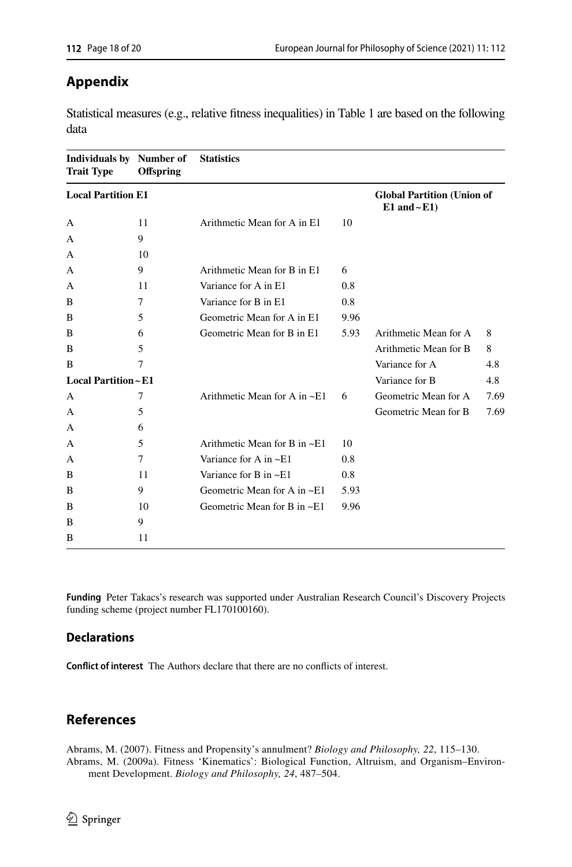## <span id="page-17-2"></span>**Appendix**

Statistical measures (e.g., relative ftness inequalities) in Table 1 are based on the following data

| <b>Individuals by</b> Number of<br><b>Trait Type</b> | <b>Offspring</b> | <b>Statistics</b>                  |                |                                                       |      |
|------------------------------------------------------|------------------|------------------------------------|----------------|-------------------------------------------------------|------|
| <b>Local Partition E1</b>                            |                  |                                    |                | <b>Global Partition (Union of</b><br>$E1$ and $-E1$ ) |      |
| A                                                    | 11               | Arithmetic Mean for A in E1        | 10             |                                                       |      |
| A                                                    | 9                |                                    |                |                                                       |      |
| А                                                    | 10               |                                    |                |                                                       |      |
| A                                                    | 9                | Arithmetic Mean for B in E1        | 6              |                                                       |      |
| А                                                    | 11               | Variance for A in E1               | 0.8            |                                                       |      |
| B                                                    | 7                | Variance for B in E1               | 0.8            |                                                       |      |
| B                                                    | 5                | Geometric Mean for A in E1         | 9.96           |                                                       |      |
| B                                                    | 6                | Geometric Mean for B in E1         | 5.93           | Arithmetic Mean for A                                 | 8    |
| B                                                    | 5                |                                    |                | Arithmetic Mean for B                                 | 8    |
| B                                                    | $\tau$           |                                    |                | Variance for A                                        | 4.8  |
| <b>Local Partition ~ E1</b>                          |                  |                                    | Variance for B | 4.8                                                   |      |
| A                                                    | $\overline{7}$   | Arithmetic Mean for A in $\sim$ E1 | 6              | Geometric Mean for A                                  | 7.69 |
| A                                                    | 5                |                                    |                | Geometric Mean for B                                  | 7.69 |
| A                                                    | 6                |                                    |                |                                                       |      |
| A                                                    | 5                | Arithmetic Mean for B in $\sim$ E1 | 10             |                                                       |      |
| A                                                    | 7                | Variance for A in $\sim$ E1        | 0.8            |                                                       |      |
| B                                                    | 11               | Variance for $B$ in $\sim E1$      | 0.8            |                                                       |      |
| B                                                    | 9                | Geometric Mean for A in $\sim$ E1  | 5.93           |                                                       |      |
| B                                                    | 10               | Geometric Mean for B in $\sim$ E1  | 9.96           |                                                       |      |
| B                                                    | 9                |                                    |                |                                                       |      |
| B                                                    | 11               |                                    |                |                                                       |      |

**Funding** Peter Takacs's research was supported under Australian Research Council's Discovery Projects funding scheme (project number FL170100160).

#### **Declarations**

**Confict of interest** The Authors declare that there are no conficts of interest.

# **References**

<span id="page-17-1"></span><span id="page-17-0"></span>Abrams, M. (2007). Fitness and Propensity's annulment? *Biology and Philosophy, 22*, 115–130. Abrams, M. (2009a). Fitness 'Kinematics': Biological Function, Altruism, and Organism–Environment Development. *Biology and Philosophy, 24*, 487–504.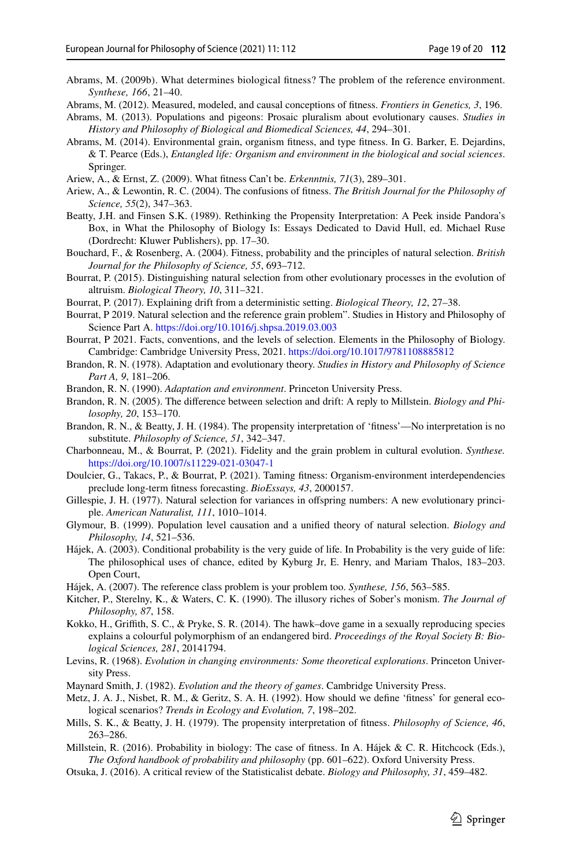- <span id="page-18-8"></span>Abrams, M. (2009b). What determines biological ftness? The problem of the reference environment. *Synthese, 166*, 21–40.
- <span id="page-18-0"></span>Abrams, M. (2012). Measured, modeled, and causal conceptions of ftness. *Frontiers in Genetics, 3*, 196.
- <span id="page-18-9"></span>Abrams, M. (2013). Populations and pigeons: Prosaic pluralism about evolutionary causes. *Studies in History and Philosophy of Biological and Biomedical Sciences, 44*, 294–301.
- <span id="page-18-10"></span>Abrams, M. (2014). Environmental grain, organism ftness, and type ftness. In G. Barker, E. Dejardins, & T. Pearce (Eds.), *Entangled life: Organism and environment in the biological and social sciences*. Springer.
- <span id="page-18-18"></span>Ariew, A., & Ernst, Z. (2009). What ftness Can't be. *Erkenntnis, 71*(3), 289–301.
- <span id="page-18-19"></span>Ariew, A., & Lewontin, R. C. (2004). The confusions of ftness. *The British Journal for the Philosophy of Science, 55*(2), 347–363.
- <span id="page-18-1"></span>Beatty, J.H. and Finsen S.K. (1989). Rethinking the Propensity Interpretation: A Peek inside Pandora's Box, in What the Philosophy of Biology Is: Essays Dedicated to David Hull, ed. Michael Ruse (Dordrecht: Kluwer Publishers), pp. 17–30.
- <span id="page-18-14"></span>Bouchard, F., & Rosenberg, A. (2004). Fitness, probability and the principles of natural selection. *British Journal for the Philosophy of Science, 55*, 693–712.
- <span id="page-18-12"></span>Bourrat, P. (2015). Distinguishing natural selection from other evolutionary processes in the evolution of altruism. *Biological Theory, 10*, 311–321.
- <span id="page-18-13"></span>Bourrat, P. (2017). Explaining drift from a deterministic setting. *Biological Theory, 12*, 27–38.
- <span id="page-18-24"></span>Bourrat, P 2019. Natural selection and the reference grain problem". Studies in History and Philosophy of Science Part A. <https://doi.org/10.1016/j.shpsa.2019.03.003>
- <span id="page-18-27"></span>Bourrat, P 2021. Facts, conventions, and the levels of selection. Elements in the Philosophy of Biology. Cambridge: Cambridge University Press, 2021. <https://doi.org/10.1017/9781108885812>
- <span id="page-18-2"></span>Brandon, R. N. (1978). Adaptation and evolutionary theory. *Studies in History and Philosophy of Science Part A, 9*, 181–206.
- <span id="page-18-3"></span>Brandon, R. N. (1990). *Adaptation and environment*. Princeton University Press.
- <span id="page-18-21"></span>Brandon, R. N. (2005). The diference between selection and drift: A reply to Millstein. *Biology and Philosophy, 20*, 153–170.
- <span id="page-18-5"></span>Brandon, R. N., & Beatty, J. H. (1984). The propensity interpretation of 'fitness'—No interpretation is no substitute. *Philosophy of Science, 51*, 342–347.
- <span id="page-18-25"></span>Charbonneau, M., & Bourrat, P. (2021). Fidelity and the grain problem in cultural evolution. *Synthese.* <https://doi.org/10.1007/s11229-021-03047-1>
- <span id="page-18-22"></span>Doulcier, G., Takacs, P., & Bourrat, P. (2021). Taming ftness: Organism-environment interdependencies preclude long-term ftness forecasting. *BioEssays, 43*, 2000157.
- <span id="page-18-6"></span>Gillespie, J. H. (1977). Natural selection for variances in ofspring numbers: A new evolutionary principle. *American Naturalist, 111*, 1010–1014.
- <span id="page-18-20"></span>Glymour, B. (1999). Population level causation and a unifed theory of natural selection. *Biology and Philosophy, 14*, 521–536.
- <span id="page-18-28"></span>Hájek, A. (2003). Conditional probability is the very guide of life. In Probability is the very guide of life: The philosophical uses of chance, edited by Kyburg Jr, E. Henry, and Mariam Thalos, 183–203. Open Court,
- <span id="page-18-29"></span>Hájek, A. (2007). The reference class problem is your problem too. *Synthese, 156*, 563–585.
- <span id="page-18-26"></span>Kitcher, P., Sterelny, K., & Waters, C. K. (1990). The illusory riches of Sober's monism. *The Journal of Philosophy, 87*, 158.
- <span id="page-18-17"></span>Kokko, H., Grifth, S. C., & Pryke, S. R. (2014). The hawk–dove game in a sexually reproducing species explains a colourful polymorphism of an endangered bird. *Proceedings of the Royal Society B: Biological Sciences, 281*, 20141794.
- <span id="page-18-15"></span>Levins, R. (1968). *Evolution in changing environments: Some theoretical explorations*. Princeton University Press.
- <span id="page-18-16"></span>Maynard Smith, J. (1982). *Evolution and the theory of games*. Cambridge University Press.
- <span id="page-18-11"></span>Metz, J. A. J., Nisbet, R. M., & Geritz, S. A. H. (1992). How should we defne 'ftness' for general ecological scenarios? *Trends in Ecology and Evolution, 7*, 198–202.
- <span id="page-18-4"></span>Mills, S. K., & Beatty, J. H. (1979). The propensity interpretation of ftness. *Philosophy of Science, 46*, 263–286.
- <span id="page-18-23"></span>Millstein, R. (2016). Probability in biology: The case of ftness. In A. Hájek & C. R. Hitchcock (Eds.), *The Oxford handbook of probability and philosophy* (pp. 601–622). Oxford University Press.
- <span id="page-18-7"></span>Otsuka, J. (2016). A critical review of the Statisticalist debate. *Biology and Philosophy, 31*, 459–482.